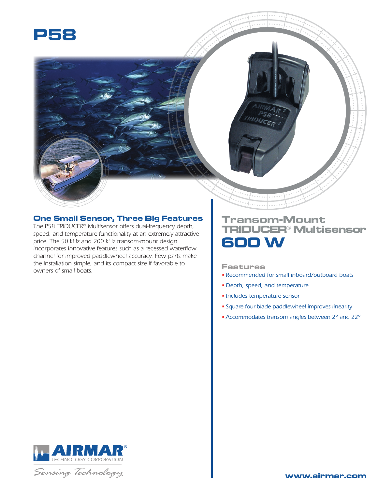

## **One Small Sensor, Three Big Features**

*The P58 TRIDUCER® Multisensor offers dual-frequency depth, speed, and temperature functionality at an extremely attractive price. The 50 kHz and 200 kHz transom-mount design incorporates innovative features such as a recessed waterflow channel for improved paddlewheel accuracy. Few parts make the installation simple, and its compact size if favorable to owners of small boats.*

## **Transom-Mount TRIDUCER® Multisensor 600 W**

## **Features**

- *Recommended for small inboard/outboard boats*
- *Depth, speed, and temperature*
- *Includes temperature sensor*
- *Square four-blade paddlewheel improves linearity*
- •*Accommodates transom angles between 2° and 22°*



Sensing Technology